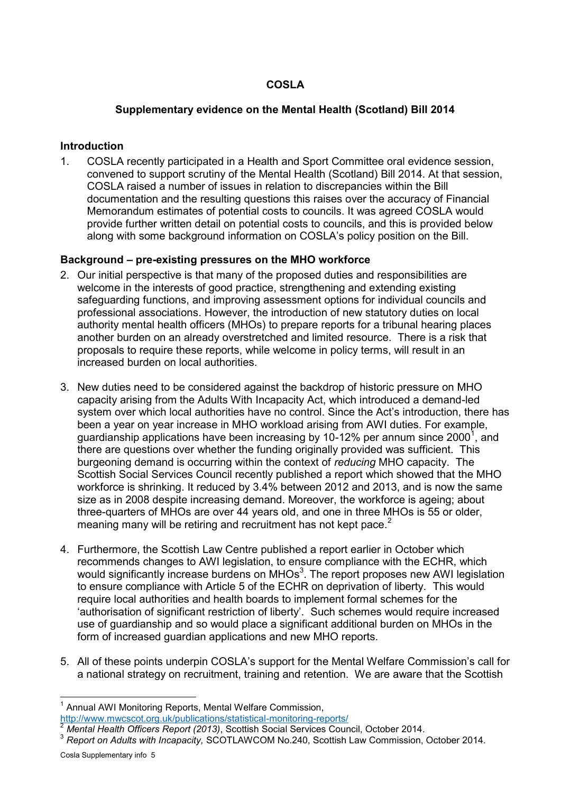# **COSLA**

## **Supplementary evidence on the Mental Health (Scotland) Bill 2014**

### **Introduction**

1. COSLA recently participated in a Health and Sport Committee oral evidence session, convened to support scrutiny of the Mental Health (Scotland) Bill 2014. At that session, COSLA raised a number of issues in relation to discrepancies within the Bill documentation and the resulting questions this raises over the accuracy of Financial Memorandum estimates of potential costs to councils. It was agreed COSLA would provide further written detail on potential costs to councils, and this is provided below along with some background information on COSLA's policy position on the Bill.

#### **Background – pre-existing pressures on the MHO workforce**

- 2. Our initial perspective is that many of the proposed duties and responsibilities are welcome in the interests of good practice, strengthening and extending existing safeguarding functions, and improving assessment options for individual councils and professional associations. However, the introduction of new statutory duties on local authority mental health officers (MHOs) to prepare reports for a tribunal hearing places another burden on an already overstretched and limited resource. There is a risk that proposals to require these reports, while welcome in policy terms, will result in an increased burden on local authorities.
- 3. New duties need to be considered against the backdrop of historic pressure on MHO capacity arising from the Adults With Incapacity Act, which introduced a demand-led system over which local authorities have no control. Since the Act's introduction, there has been a year on year increase in MHO workload arising from AWI duties. For example, guardianship applications have been increasing by 10-12% per annum since 2000<sup>1</sup>, and there are questions over whether the funding originally provided was sufficient. This burgeoning demand is occurring within the context of *reducing* MHO capacity. The Scottish Social Services Council recently published a report which showed that the MHO workforce is shrinking. It reduced by 3.4% between 2012 and 2013, and is now the same size as in 2008 despite increasing demand. Moreover, the workforce is ageing; about three-quarters of MHOs are over 44 years old, and one in three MHOs is 55 or older, meaning many will be retiring and recruitment has not kept pace.<sup>2</sup>
- 4. Furthermore, the Scottish Law Centre published a report earlier in October which recommends changes to AWI legislation, to ensure compliance with the ECHR, which would significantly increase burdens on MHOs<sup>3</sup>. The report proposes new AWI legislation to ensure compliance with Article 5 of the ECHR on deprivation of liberty. This would require local authorities and health boards to implement formal schemes for the 'authorisation of significant restriction of liberty'. Such schemes would require increased use of guardianship and so would place a significant additional burden on MHOs in the form of increased guardian applications and new MHO reports.
- 5. All of these points underpin COSLA's support for the Mental Welfare Commission's call for a national strategy on recruitment, training and retention. We are aware that the Scottish

 $\overline{a}$ 1 Annual AWI Monitoring Reports, Mental Welfare Commission, <http://www.mwcscot.org.uk/publications/statistical-monitoring-reports/>

<sup>2</sup> *Mental Health Officers Report (2013)*, Scottish Social Services Council, October 2014.

<sup>&</sup>lt;sup>3</sup> Report on Adults with Incapacity, SCOTLAWCOM No.240, Scottish Law Commission, October 2014.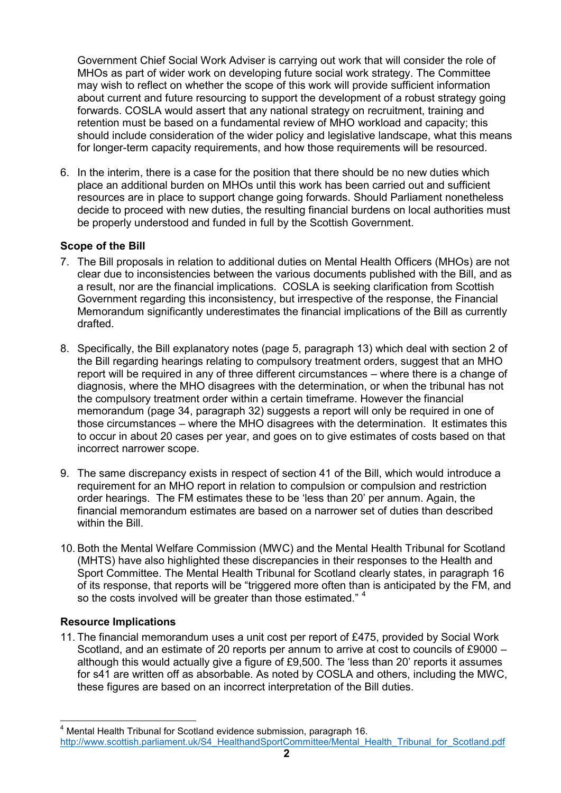Government Chief Social Work Adviser is carrying out work that will consider the role of MHOs as part of wider work on developing future social work strategy. The Committee may wish to reflect on whether the scope of this work will provide sufficient information about current and future resourcing to support the development of a robust strategy going forwards. COSLA would assert that any national strategy on recruitment, training and retention must be based on a fundamental review of MHO workload and capacity; this should include consideration of the wider policy and legislative landscape, what this means for longer-term capacity requirements, and how those requirements will be resourced.

6. In the interim, there is a case for the position that there should be no new duties which place an additional burden on MHOs until this work has been carried out and sufficient resources are in place to support change going forwards. Should Parliament nonetheless decide to proceed with new duties, the resulting financial burdens on local authorities must be properly understood and funded in full by the Scottish Government.

# **Scope of the Bill**

- 7. The Bill proposals in relation to additional duties on Mental Health Officers (MHOs) are not clear due to inconsistencies between the various documents published with the Bill, and as a result, nor are the financial implications. COSLA is seeking clarification from Scottish Government regarding this inconsistency, but irrespective of the response, the Financial Memorandum significantly underestimates the financial implications of the Bill as currently drafted.
- 8. Specifically, the Bill explanatory notes (page 5, paragraph 13) which deal with section 2 of the Bill regarding hearings relating to compulsory treatment orders, suggest that an MHO report will be required in any of three different circumstances – where there is a change of diagnosis, where the MHO disagrees with the determination, or when the tribunal has not the compulsory treatment order within a certain timeframe. However the financial memorandum (page 34, paragraph 32) suggests a report will only be required in one of those circumstances – where the MHO disagrees with the determination. It estimates this to occur in about 20 cases per year, and goes on to give estimates of costs based on that incorrect narrower scope.
- 9. The same discrepancy exists in respect of section 41 of the Bill, which would introduce a requirement for an MHO report in relation to compulsion or compulsion and restriction order hearings. The FM estimates these to be 'less than 20' per annum. Again, the financial memorandum estimates are based on a narrower set of duties than described within the Bill
- 10. Both the Mental Welfare Commission (MWC) and the Mental Health Tribunal for Scotland (MHTS) have also highlighted these discrepancies in their responses to the Health and Sport Committee. The Mental Health Tribunal for Scotland clearly states, in paragraph 16 of its response, that reports will be "triggered more often than is anticipated by the FM, and so the costs involved will be greater than those estimated."<sup>4</sup>

## **Resource Implications**

 $\overline{a}$ 

11. The financial memorandum uses a unit cost per report of £475, provided by Social Work Scotland, and an estimate of 20 reports per annum to arrive at cost to councils of £9000 – although this would actually give a figure of £9,500. The 'less than 20' reports it assumes for s41 are written off as absorbable. As noted by COSLA and others, including the MWC, these figures are based on an incorrect interpretation of the Bill duties.

<sup>4</sup> Mental Health Tribunal for Scotland evidence submission, paragraph 16. [http://www.scottish.parliament.uk/S4\\_HealthandSportCommittee/Mental\\_Health\\_Tribunal\\_for\\_Scotland.pdf](http://www.scottish.parliament.uk/S4_HealthandSportCommittee/Mental_Health_Tribunal_for_Scotland.pdf)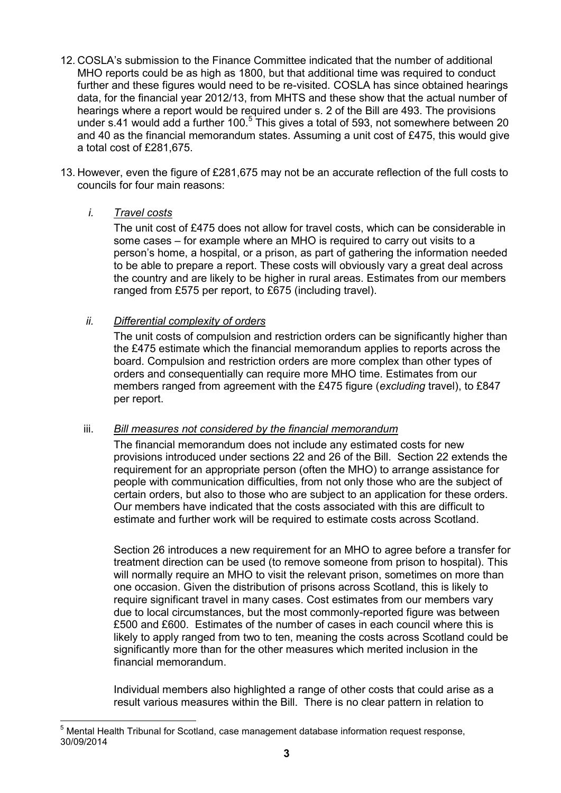- 12. COSLA's submission to the Finance Committee indicated that the number of additional MHO reports could be as high as 1800, but that additional time was required to conduct further and these figures would need to be re-visited. COSLA has since obtained hearings data, for the financial year 2012/13, from MHTS and these show that the actual number of hearings where a report would be required under s. 2 of the Bill are 493. The provisions under s.41 would add a further 100. $5$  This gives a total of 593, not somewhere between 20 and 40 as the financial memorandum states. Assuming a unit cost of £475, this would give a total cost of £281,675.
- 13. However, even the figure of £281,675 may not be an accurate reflection of the full costs to councils for four main reasons:

# *i. Travel costs*

The unit cost of £475 does not allow for travel costs, which can be considerable in some cases – for example where an MHO is required to carry out visits to a person's home, a hospital, or a prison, as part of gathering the information needed to be able to prepare a report. These costs will obviously vary a great deal across the country and are likely to be higher in rural areas. Estimates from our members ranged from £575 per report, to £675 (including travel).

# *ii. Differential complexity of orders*

The unit costs of compulsion and restriction orders can be significantly higher than the £475 estimate which the financial memorandum applies to reports across the board. Compulsion and restriction orders are more complex than other types of orders and consequentially can require more MHO time. Estimates from our members ranged from agreement with the £475 figure (*excluding* travel), to £847 per report.

## iii. *Bill measures not considered by the financial memorandum*

The financial memorandum does not include any estimated costs for new provisions introduced under sections 22 and 26 of the Bill. Section 22 extends the requirement for an appropriate person (often the MHO) to arrange assistance for people with communication difficulties, from not only those who are the subject of certain orders, but also to those who are subject to an application for these orders. Our members have indicated that the costs associated with this are difficult to estimate and further work will be required to estimate costs across Scotland.

Section 26 introduces a new requirement for an MHO to agree before a transfer for treatment direction can be used (to remove someone from prison to hospital). This will normally require an MHO to visit the relevant prison, sometimes on more than one occasion. Given the distribution of prisons across Scotland, this is likely to require significant travel in many cases. Cost estimates from our members vary due to local circumstances, but the most commonly-reported figure was between £500 and £600. Estimates of the number of cases in each council where this is likely to apply ranged from two to ten, meaning the costs across Scotland could be significantly more than for the other measures which merited inclusion in the financial memorandum.

Individual members also highlighted a range of other costs that could arise as a result various measures within the Bill. There is no clear pattern in relation to

 $\overline{a}$ <sup>5</sup> Mental Health Tribunal for Scotland, case management database information request response, 30/09/2014